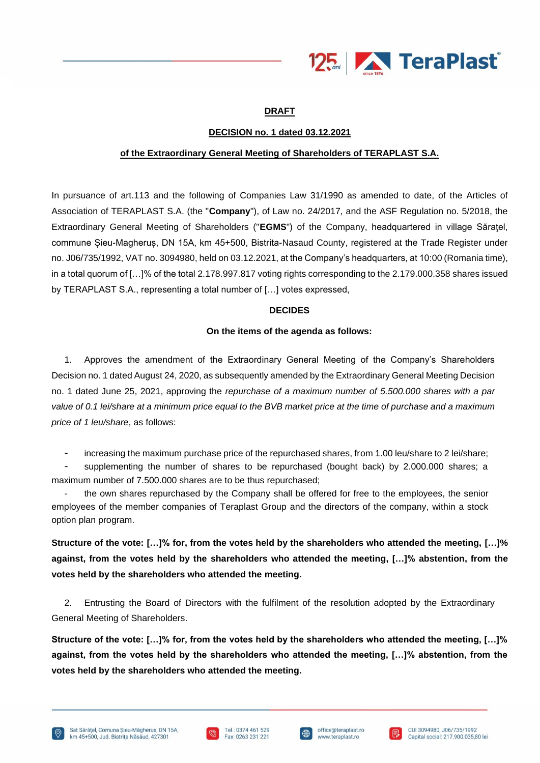

# **DRAFT**

# **DECISION no. 1 dated 03.12.2021**

# **of the Extraordinary General Meeting of Shareholders of TERAPLAST S.A.**

In pursuance of art.113 and the following of Companies Law 31/1990 as amended to date, of the Articles of Association of TERAPLAST S.A. (the "**Company**"), of Law no. 24/2017, and the ASF Regulation no. 5/2018, the Extraordinary General Meeting of Shareholders ("**EGMS**") of the Company, headquartered in village Săraţel, commune Șieu-Magheruș, DN 15A, km 45+500, Bistrita-Nasaud County, registered at the Trade Register under no. J06/735/1992, VAT no. 3094980, held on 03.12.2021, at the Company's headquarters, at 10:00 (Romania time), in a total quorum of […]% of the total 2.178.997.817 voting rights corresponding to the 2.179.000.358 shares issued by TERAPLAST S.A., representing a total number of […] votes expressed,

### **DECIDES**

### **On the items of the agenda as follows:**

1. Approves the amendment of the Extraordinary General Meeting of the Company's Shareholders Decision no. 1 dated August 24, 2020, as subsequently amended by the Extraordinary General Meeting Decision no. 1 dated June 25, 2021, approving the *repurchase of a maximum number of 5.500.000 shares with a par value of 0.1 lei/share at a minimum price equal to the BVB market price at the time of purchase and a maximum price of 1 leu/share*, as follows:

increasing the maximum purchase price of the repurchased shares, from 1.00 leu/share to 2 lei/share;

supplementing the number of shares to be repurchased (bought back) by 2.000.000 shares; a maximum number of 7.500.000 shares are to be thus repurchased;

the own shares repurchased by the Company shall be offered for free to the employees, the senior employees of the member companies of Teraplast Group and the directors of the company, within a stock option plan program.

**Structure of the vote: […]% for, from the votes held by the shareholders who attended the meeting, […]% against, from the votes held by the shareholders who attended the meeting, […]% abstention, from the votes held by the shareholders who attended the meeting.**

2. Entrusting the Board of Directors with the fulfilment of the resolution adopted by the Extraordinary General Meeting of Shareholders.

**Structure of the vote: […]% for, from the votes held by the shareholders who attended the meeting, […]% against, from the votes held by the shareholders who attended the meeting, […]% abstention, from the votes held by the shareholders who attended the meeting.**